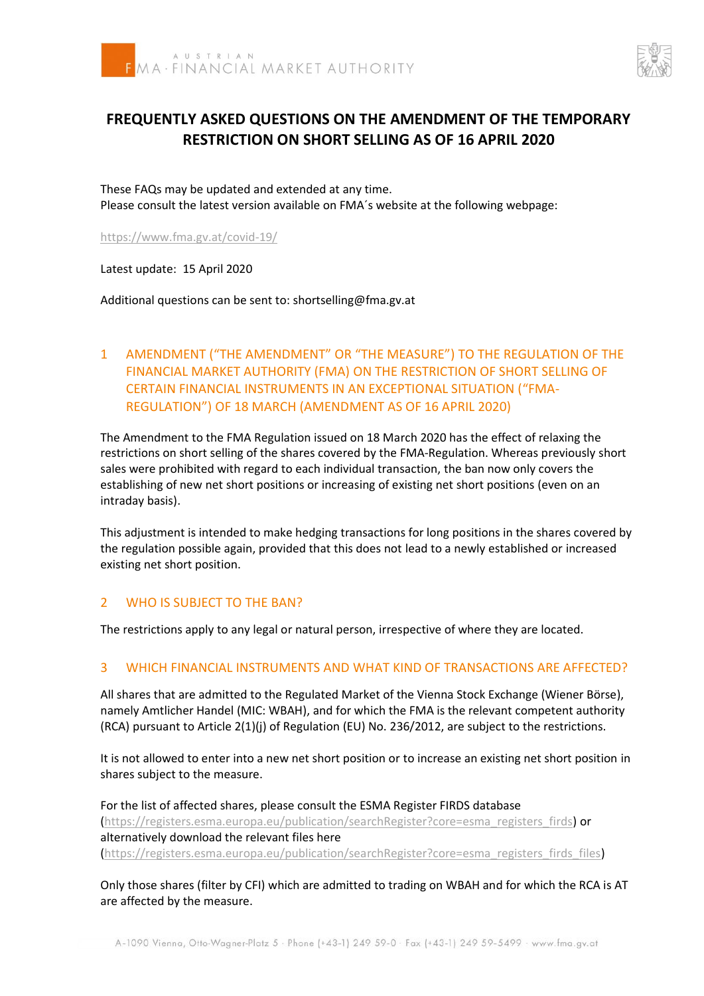



# **FREQUENTLY ASKED QUESTIONS ON THE AMENDMENT OF THE TEMPORARY RESTRICTION ON SHORT SELLING AS OF 16 APRIL 2020**

These FAQs may be updated and extended at any time. Please consult the latest version available on FMA´s website at the following webpage:

<https://www.fma.gv.at/covid-19/>

Latest update: 15 April 2020

Additional questions can be sent to: shortselling@fma.gv.at

# 1 AMENDMENT ("THE AMENDMENT" OR "THE MEASURE") TO THE REGULATION OF THE FINANCIAL MARKET AUTHORITY (FMA) ON THE RESTRICTION OF SHORT SELLING OF CERTAIN FINANCIAL INSTRUMENTS IN AN EXCEPTIONAL SITUATION ("FMA-REGULATION") OF 18 MARCH (AMENDMENT AS OF 16 APRIL 2020)

The Amendment to the FMA Regulation issued on 18 March 2020 has the effect of relaxing the restrictions on short selling of the shares covered by the FMA-Regulation. Whereas previously short sales were prohibited with regard to each individual transaction, the ban now only covers the establishing of new net short positions or increasing of existing net short positions (even on an intraday basis).

This adjustment is intended to make hedging transactions for long positions in the shares covered by the regulation possible again, provided that this does not lead to a newly established or increased existing net short position.

#### 2 WHO IS SUBJECT TO THE BAN?

The restrictions apply to any legal or natural person, irrespective of where they are located.

#### 3 WHICH FINANCIAL INSTRUMENTS AND WHAT KIND OF TRANSACTIONS ARE AFFECTED?

All shares that are admitted to the Regulated Market of the Vienna Stock Exchange (Wiener Börse), namely Amtlicher Handel (MIC: WBAH), and for which the FMA is the relevant competent authority (RCA) pursuant to Article 2(1)(j) of Regulation (EU) No. 236/2012, are subject to the restrictions.

It is not allowed to enter into a new net short position or to increase an existing net short position in shares subject to the measure.

For the list of affected shares, please consult the ESMA Register FIRDS database [\(https://registers.esma.europa.eu/publication/searchRegister?core=esma\\_registers\\_firds\)](https://registers.esma.europa.eu/publication/searchRegister?core=esma_registers_firds) or alternatively download the relevant files here [\(https://registers.esma.europa.eu/publication/searchRegister?core=esma\\_registers\\_firds\\_files\)](https://registers.esma.europa.eu/publication/searchRegister?core=esma_registers_firds_files)

Only those shares (filter by CFI) which are admitted to trading on WBAH and for which the RCA is AT are affected by the measure.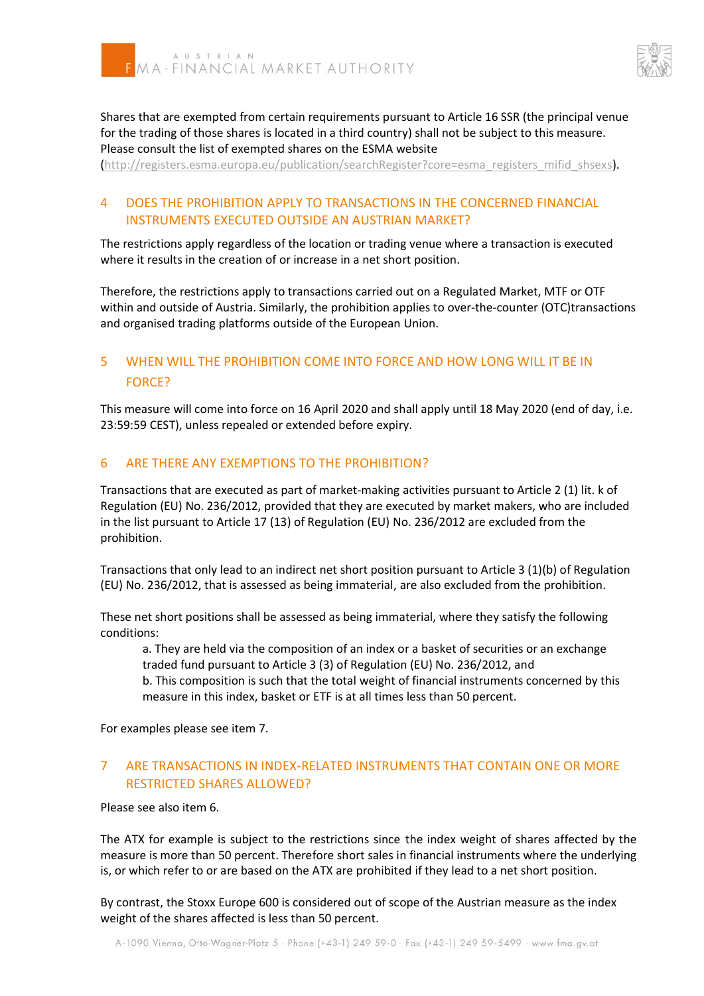



Shares that are exempted from certain requirements pursuant to Article 16 SSR (the principal venue for the trading of those shares is located in a third country) shall not be subject to this measure. Please consult the list of exempted shares on the ESMA website

[\(http://registers.esma.europa.eu/publication/searchRegister?core=esma\\_registers\\_mifid\\_shsexs\)](http://registers.esma.europa.eu/publication/searchRegister?core=esma_registers_mifid_shsexs).

## 4 DOES THE PROHIBITION APPLY TO TRANSACTIONS IN THE CONCERNED FINANCIAL INSTRUMENTS EXECUTED OUTSIDE AN AUSTRIAN MARKET?

The restrictions apply regardless of the location or trading venue where a transaction is executed where it results in the creation of or increase in a net short position.

Therefore, the restrictions apply to transactions carried out on a Regulated Market, MTF or OTF within and outside of Austria. Similarly, the prohibition applies to over-the-counter (OTC)transactions and organised trading platforms outside of the European Union.

# 5 WHEN WILL THE PROHIBITION COME INTO FORCE AND HOW LONG WILL IT BE IN FORCE?

This measure will come into force on 16 April 2020 and shall apply until 18 May 2020 (end of day, i.e. 23:59:59 CEST), unless repealed or extended before expiry.

#### 6 ARE THERE ANY EXEMPTIONS TO THE PROHIBITION?

Transactions that are executed as part of market-making activities pursuant to Article 2 (1) lit. k of Regulation (EU) No. 236/2012, provided that they are executed by market makers, who are included in the list pursuant to Article 17 (13) of Regulation (EU) No. 236/2012 are excluded from the prohibition.

Transactions that only lead to an indirect net short position pursuant to Article 3 (1)(b) of Regulation (EU) No. 236/2012, that is assessed as being immaterial, are also excluded from the prohibition.

These net short positions shall be assessed as being immaterial, where they satisfy the following conditions:

a. They are held via the composition of an index or a basket of securities or an exchange traded fund pursuant to Article 3 (3) of Regulation (EU) No. 236/2012, and

b. This composition is such that the total weight of financial instruments concerned by this measure in this index, basket or ETF is at all times less than 50 percent.

For examples please see item 7.

## 7 ARE TRANSACTIONS IN INDEX-RELATED INSTRUMENTS THAT CONTAIN ONE OR MORE RESTRICTED SHARES ALLOWED?

Please see also item 6.

The ATX for example is subject to the restrictions since the index weight of shares affected by the measure is more than 50 percent. Therefore short sales in financial instruments where the underlying is, or which refer to or are based on the ATX are prohibited if they lead to a net short position.

By contrast, the Stoxx Europe 600 is considered out of scope of the Austrian measure as the index weight of the shares affected is less than 50 percent.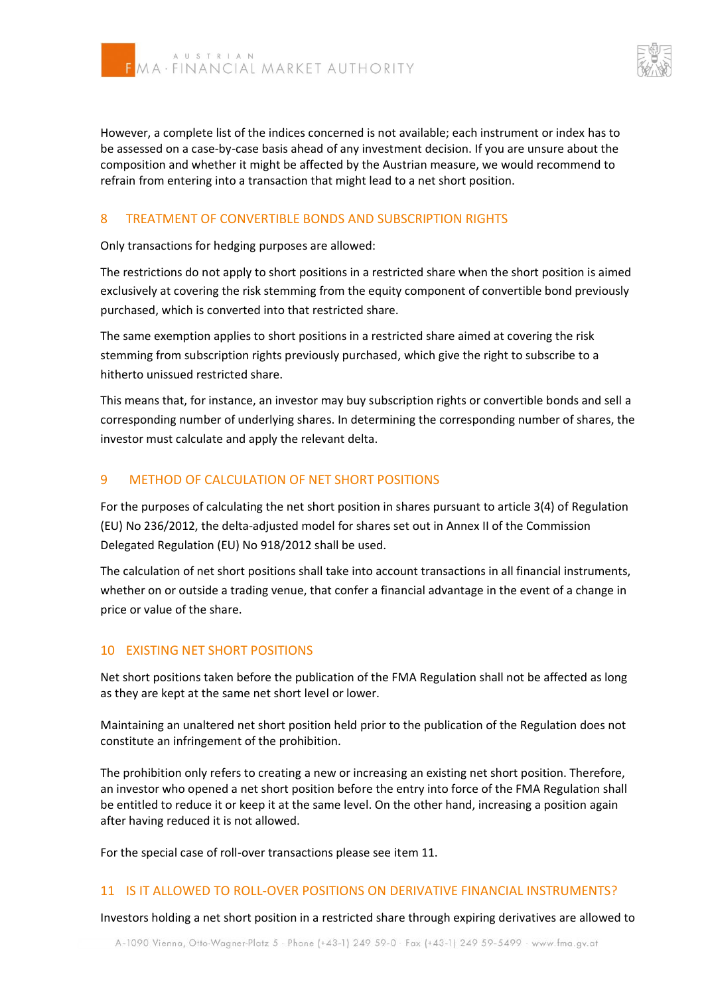

However, a complete list of the indices concerned is not available; each instrument or index has to be assessed on a case-by-case basis ahead of any investment decision. If you are unsure about the composition and whether it might be affected by the Austrian measure, we would recommend to refrain from entering into a transaction that might lead to a net short position.

## 8 TREATMENT OF CONVERTIBLE BONDS AND SUBSCRIPTION RIGHTS

Only transactions for hedging purposes are allowed:

The restrictions do not apply to short positions in a restricted share when the short position is aimed exclusively at covering the risk stemming from the equity component of convertible bond previously purchased, which is converted into that restricted share.

The same exemption applies to short positions in a restricted share aimed at covering the risk stemming from subscription rights previously purchased, which give the right to subscribe to a hitherto unissued restricted share.

This means that, for instance, an investor may buy subscription rights or convertible bonds and sell a corresponding number of underlying shares. In determining the corresponding number of shares, the investor must calculate and apply the relevant delta.

#### 9 METHOD OF CALCULATION OF NET SHORT POSITIONS

For the purposes of calculating the net short position in shares pursuant to article 3(4) of Regulation (EU) No 236/2012, the delta-adjusted model for shares set out in Annex II of the Commission Delegated Regulation (EU) No 918/2012 shall be used.

The calculation of net short positions shall take into account transactions in all financial instruments, whether on or outside a trading venue, that confer a financial advantage in the event of a change in price or value of the share.

#### 10 EXISTING NET SHORT POSITIONS

Net short positions taken before the publication of the FMA Regulation shall not be affected as long as they are kept at the same net short level or lower.

Maintaining an unaltered net short position held prior to the publication of the Regulation does not constitute an infringement of the prohibition.

The prohibition only refers to creating a new or increasing an existing net short position. Therefore, an investor who opened a net short position before the entry into force of the FMA Regulation shall be entitled to reduce it or keep it at the same level. On the other hand, increasing a position again after having reduced it is not allowed.

For the special case of roll-over transactions please see item 11.

#### 11 IS IT ALLOWED TO ROLL-OVER POSITIONS ON DERIVATIVE FINANCIAL INSTRUMENTS?

Investors holding a net short position in a restricted share through expiring derivatives are allowed to